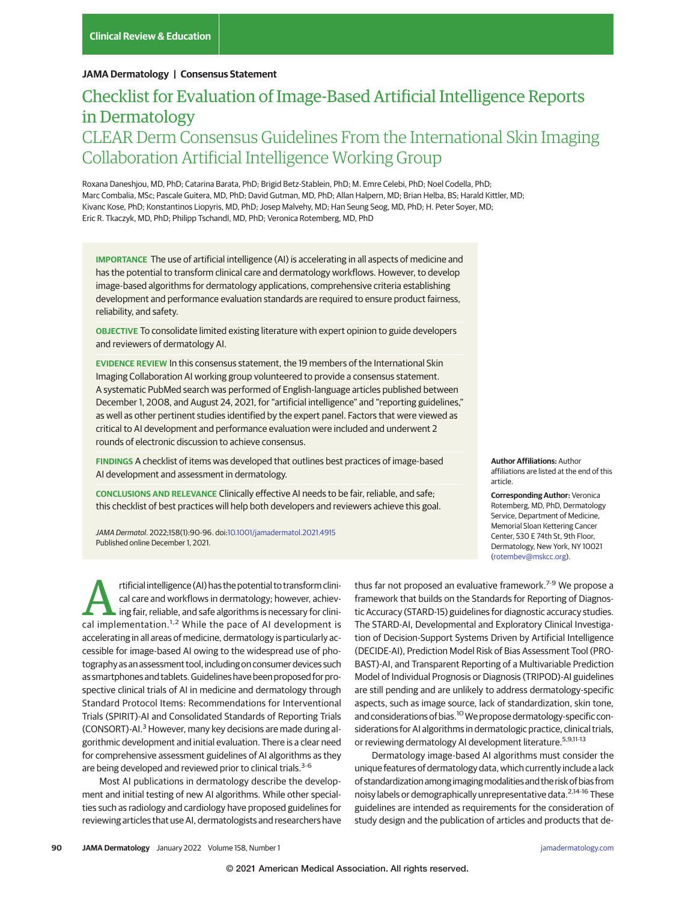### **JAMA Dermatology | Consensus Statement**

# Checklist for Evaluation of Image-Based Artificial Intelligence Reports in Dermatology CLEAR Derm Consensus Guidelines From the International Skin Imaging Collaboration Artificial Intelligence Working Group

Roxana Daneshjou, MD, PhD; Catarina Barata, PhD; Brigid Betz-Stablein, PhD; M. Emre Celebi, PhD; Noel Codella, PhD; Marc Combalia, MSc; Pascale Guitera, MD, PhD; David Gutman, MD, PhD; Allan Halpern, MD; Brian Helba, BS; Harald Kittler, MD; Kivanc Kose, PhD; Konstantinos Liopyris, MD, PhD; Josep Malvehy, MD; Han Seung Seog, MD, PhD; H. Peter Soyer, MD; Eric R. Tkaczyk, MD, PhD; Philipp Tschandl, MD, PhD; Veronica Rotemberg, MD, PhD

**IMPORTANCE** The use of artificial intelligence (AI) is accelerating in all aspects of medicine and has the potential to transform clinical care and dermatology workflows. However, to develop image-based algorithms for dermatology applications, comprehensive criteria establishing development and performance evaluation standards are required to ensure product fairness, reliability, and safety.

**OBJECTIVE** To consolidate limited existing literature with expert opinion to guide developers and reviewers of dermatology AI.

**EVIDENCE REVIEW** In this consensus statement, the 19 members of the International Skin Imaging Collaboration AI working group volunteered to provide a consensus statement. A systematic PubMed search was performed of English-language articles published between December 1, 2008, and August 24, 2021, for "artificial intelligence" and "reporting guidelines," as well as other pertinent studies identified by the expert panel. Factors that were viewed as critical to AI development and performance evaluation were included and underwent 2 rounds of electronic discussion to achieve consensus.

**FINDINGS** A checklist of items was developed that outlines best practices of image-based AI development and assessment in dermatology.

**CONCLUSIONS AND RELEVANCE** Clinically effective AI needs to be fair, reliable, and safe; this checklist of best practices will help both developers and reviewers achieve this goal.

JAMA Dermatol. 2022;158(1):90-96. doi[:10.1001/jamadermatol.2021.4915](https://jamanetwork.com/journals/jama/fullarticle/10.1001/jamadermatol.2021.4915?utm_campaign=articlePDF%26utm_medium=articlePDFlink%26utm_source=articlePDF%26utm_content=jamadermatol.2021.4915) Published online December 1, 2021.

rtificial intelligence (AI) has the potential to transform clini-<br>cal care and workflows in dermatology; however, achiev-<br>ing fair, reliable, and safe algorithms is necessary for clini-<br>cal implementation  $^{1,2}$  While the cal care and workflows in dermatology; however, achievcal implementation.<sup>1,2</sup> While the pace of AI development is accelerating in all areas of medicine, dermatology is particularly accessible for image-based AI owing to the widespread use of photography as an assessment tool, including on consumer devices such as smartphones and tablets.Guidelines have been proposed for prospective clinical trials of AI in medicine and dermatology through Standard Protocol Items: Recommendations for Interventional Trials (SPIRIT)-AI and Consolidated Standards of Reporting Trials (CONSORT)-AI.<sup>3</sup> However, many key decisions are made during algorithmic development and initial evaluation. There is a clear need for comprehensive assessment guidelines of AI algorithms as they are being developed and reviewed prior to clinical trials.<sup>3-6</sup>

Most AI publications in dermatology describe the development and initial testing of new AI algorithms. While other specialties such as radiology and cardiology have proposed guidelines for reviewing articles that use AI, dermatologists and researchers have

**Author Affiliations:** Author affiliations are listed at the end of this article.

**Corresponding Author:** Veronica Rotemberg, MD, PhD, Dermatology Service, Department of Medicine, Memorial Sloan Kettering Cancer Center, 530 E 74th St, 9th Floor, Dermatology, New York, NY 10021 [\(rotembev@mskcc.org\)](mailto:rotembev@mskcc.org).

thus far not proposed an evaluative framework.<sup>7-9</sup> We propose a framework that builds on the Standards for Reporting of Diagnostic Accuracy (STARD-15) guidelines for diagnostic accuracy studies. The STARD-AI, Developmental and Exploratory Clinical Investigation of Decision-Support Systems Driven by Artificial Intelligence (DECIDE-AI), Prediction Model Risk of Bias Assessment Tool (PRO-BAST)-AI, and Transparent Reporting of a Multivariable Prediction Model of Individual Prognosis or Diagnosis (TRIPOD)-AI guidelines are still pending and are unlikely to address dermatology-specific aspects, such as image source, lack of standardization, skin tone, and considerations of bias.<sup>10</sup> We propose dermatology-specific considerations for AI algorithms in dermatologic practice, clinical trials, or reviewing dermatology AI development literature.<sup>5,9,11-13</sup>

Dermatology image-based AI algorithms must consider the unique features of dermatology data, which currently include a lack of standardizationamong imagingmodalitiesand the risk of bias from noisy labels or demographically unrepresentative data.<sup>2,14-16</sup> These guidelines are intended as requirements for the consideration of study design and the publication of articles and products that de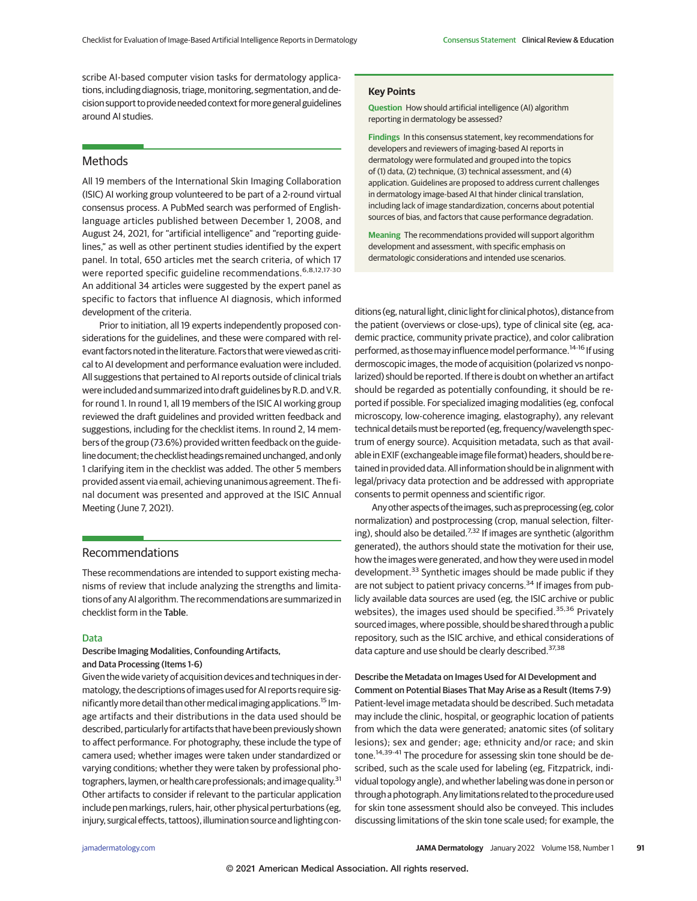scribe AI-based computer vision tasks for dermatology applications, including diagnosis, triage, monitoring, segmentation, and decision support to provide needed context formore general guidelines around AI studies.

## **Methods**

All 19 members of the International Skin Imaging Collaboration (ISIC) AI working group volunteered to be part of a 2-round virtual consensus process. A PubMed search was performed of Englishlanguage articles published between December 1, 2008, and August 24, 2021, for "artificial intelligence" and "reporting guidelines," as well as other pertinent studies identified by the expert panel. In total, 650 articles met the search criteria, of which 17 were reported specific guideline recommendations.<sup>6,8,12,17-30</sup> An additional 34 articles were suggested by the expert panel as specific to factors that influence AI diagnosis, which informed development of the criteria.

Prior to initiation, all 19 experts independently proposed considerations for the guidelines, and these were compared with relevant factors noted in the literature. Factors that were viewed as critical to AI development and performance evaluation were included. All suggestions that pertained to AI reports outside of clinical trials were included and summarized into draft guidelines by R.D. and V.R. for round 1. In round 1, all 19 members of the ISIC AI working group reviewed the draft guidelines and provided written feedback and suggestions, including for the checklist items. In round 2, 14 members of the group (73.6%) provided written feedback on the guideline document; the checklist headings remained unchanged, and only 1 clarifying item in the checklist was added. The other 5 members provided assent via email, achieving unanimous agreement. The final document was presented and approved at the ISIC Annual Meeting (June 7, 2021).

# Recommendations

These recommendations are intended to support existing mechanisms of review that include analyzing the strengths and limitations of any AI algorithm. The recommendations are summarized in checklist form in the Table.

### Data

Describe Imaging Modalities, Confounding Artifacts, and Data Processing (Items 1-6)

Given the wide variety of acquisition devices and techniques in dermatology, the descriptions of images used for AI reports require significantly more detail than other medical imaging applications.<sup>15</sup> Image artifacts and their distributions in the data used should be described, particularly for artifacts that have been previously shown to affect performance. For photography, these include the type of camera used; whether images were taken under standardized or varying conditions; whether they were taken by professional photographers, laymen, or health care professionals; and image quality.<sup>31</sup> Other artifacts to consider if relevant to the particular application include pen markings, rulers, hair, other physical perturbations (eg, injury, surgical effects, tattoos), illumination source and lighting con-

### **Key Points**

**Question** How should artificial intelligence (AI) algorithm reporting in dermatology be assessed?

**Findings** In this consensus statement, key recommendations for developers and reviewers of imaging-based AI reports in dermatology were formulated and grouped into the topics of (1) data, (2) technique, (3) technical assessment, and (4) application. Guidelines are proposed to address current challenges in dermatology image-based AI that hinder clinical translation, including lack of image standardization, concerns about potential sources of bias, and factors that cause performance degradation.

**Meaning** The recommendations provided will support algorithm development and assessment, with specific emphasis on dermatologic considerations and intended use scenarios.

ditions (eg, natural light, clinic light for clinical photos), distance from the patient (overviews or close-ups), type of clinical site (eg, academic practice, community private practice), and color calibration performed, as those may influence model performance.<sup>14-16</sup> If using dermoscopic images, the mode of acquisition (polarized vs nonpolarized) should be reported. If there is doubt on whether an artifact should be regarded as potentially confounding, it should be reported if possible. For specialized imaging modalities (eg, confocal microscopy, low-coherence imaging, elastography), any relevant technical details must be reported (eg, frequency/wavelength spectrum of energy source). Acquisition metadata, such as that available in EXIF (exchangeable image file format) headers, should be retained in provided data. All information should be in alignment with legal/privacy data protection and be addressed with appropriate consents to permit openness and scientific rigor.

Any other aspects of the images, such as preprocessing (eg, color normalization) and postprocessing (crop, manual selection, filtering), should also be detailed.<sup>7,32</sup> If images are synthetic (algorithm generated), the authors should state the motivation for their use, how the images were generated, and how they were used in model development.<sup>33</sup> Synthetic images should be made public if they are not subject to patient privacy concerns.<sup>34</sup> If images from publicly available data sources are used (eg, the ISIC archive or public websites), the images used should be specified.<sup>35,36</sup> Privately sourced images, where possible, should be shared through a public repository, such as the ISIC archive, and ethical considerations of data capture and use should be clearly described.<sup>37,38</sup>

Describe the Metadata on Images Used for AI Development and Comment on Potential Biases That May Arise as a Result (Items 7-9) Patient-level image metadata should be described. Such metadata may include the clinic, hospital, or geographic location of patients from which the data were generated; anatomic sites (of solitary lesions); sex and gender; age; ethnicity and/or race; and skin tone.<sup>14,39-41</sup> The procedure for assessing skin tone should be described, such as the scale used for labeling (eg, Fitzpatrick, individual topology angle), and whether labeling was done in person or through a photograph. Any limitations related to the procedure used for skin tone assessment should also be conveyed. This includes discussing limitations of the skin tone scale used; for example, the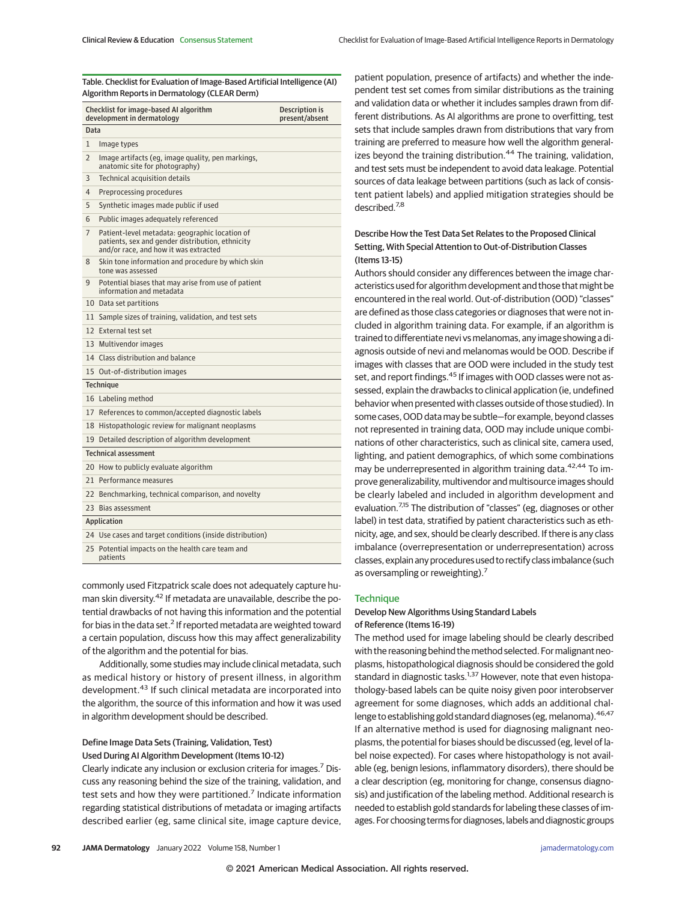Table. Checklist for Evaluation of Image-Based Artificial Intelligence (AI) Algorithm Reports in Dermatology (CLEAR Derm)

| Checklist for image-based AI algorithm<br>development in dermatology |                                                                                                                                             | Description is<br>present/absent |
|----------------------------------------------------------------------|---------------------------------------------------------------------------------------------------------------------------------------------|----------------------------------|
| Data                                                                 |                                                                                                                                             |                                  |
| 1                                                                    | Image types                                                                                                                                 |                                  |
| $\overline{2}$                                                       | Image artifacts (eg, image quality, pen markings,<br>anatomic site for photography)                                                         |                                  |
| 3                                                                    | Technical acquisition details                                                                                                               |                                  |
| 4                                                                    | Preprocessing procedures                                                                                                                    |                                  |
| 5                                                                    | Synthetic images made public if used                                                                                                        |                                  |
| 6                                                                    | Public images adequately referenced                                                                                                         |                                  |
| 7                                                                    | Patient-level metadata: geographic location of<br>patients, sex and gender distribution, ethnicity<br>and/or race, and how it was extracted |                                  |
| 8                                                                    | Skin tone information and procedure by which skin<br>tone was assessed                                                                      |                                  |
| 9                                                                    | Potential biases that may arise from use of patient<br>information and metadata                                                             |                                  |
|                                                                      | 10 Data set partitions                                                                                                                      |                                  |
|                                                                      | 11 Sample sizes of training, validation, and test sets                                                                                      |                                  |
|                                                                      | 12 External test set                                                                                                                        |                                  |
|                                                                      | 13 Multivendor images                                                                                                                       |                                  |
|                                                                      | 14 Class distribution and balance                                                                                                           |                                  |
|                                                                      | 15 Out-of-distribution images                                                                                                               |                                  |
| <b>Technique</b>                                                     |                                                                                                                                             |                                  |
|                                                                      | 16 Labeling method                                                                                                                          |                                  |
|                                                                      | 17 References to common/accepted diagnostic labels                                                                                          |                                  |
|                                                                      | 18 Histopathologic review for malignant neoplasms                                                                                           |                                  |
|                                                                      | 19 Detailed description of algorithm development                                                                                            |                                  |
| <b>Technical assessment</b>                                          |                                                                                                                                             |                                  |
|                                                                      | 20 How to publicly evaluate algorithm                                                                                                       |                                  |
|                                                                      | 21 Performance measures                                                                                                                     |                                  |
|                                                                      | 22 Benchmarking, technical comparison, and novelty                                                                                          |                                  |
|                                                                      | 23 Bias assessment                                                                                                                          |                                  |
| Application                                                          |                                                                                                                                             |                                  |
|                                                                      | 24 Use cases and target conditions (inside distribution)                                                                                    |                                  |
|                                                                      | 25 Potential impacts on the health care team and<br>patients                                                                                |                                  |

commonly used Fitzpatrick scale does not adequately capture human skin diversity.<sup>42</sup> If metadata are unavailable, describe the potential drawbacks of not having this information and the potential for bias in the data set.<sup>2</sup> If reported metadata are weighted toward a certain population, discuss how this may affect generalizability of the algorithm and the potential for bias.

Additionally, some studies may include clinical metadata, such as medical history or history of present illness, in algorithm development.<sup>43</sup> If such clinical metadata are incorporated into the algorithm, the source of this information and how it was used in algorithm development should be described.

### Define Image Data Sets (Training, Validation, Test) Used During AI Algorithm Development (Items 10-12)

Clearly indicate any inclusion or exclusion criteria for images.<sup>7</sup> Discuss any reasoning behind the size of the training, validation, and test sets and how they were partitioned.<sup>7</sup> Indicate information regarding statistical distributions of metadata or imaging artifacts described earlier (eg, same clinical site, image capture device, patient population, presence of artifacts) and whether the independent test set comes from similar distributions as the training and validation data or whether it includes samples drawn from different distributions. As AI algorithms are prone to overfitting, test sets that include samples drawn from distributions that vary from training are preferred to measure how well the algorithm generalizes beyond the training distribution.<sup>44</sup> The training, validation, and test sets must be independent to avoid data leakage. Potential sources of data leakage between partitions (such as lack of consistent patient labels) and applied mitigation strategies should be described.7,8

# Describe How the Test Data Set Relates to the Proposed Clinical Setting, With Special Attention to Out-of-Distribution Classes (Items 13-15)

Authors should consider any differences between the image characteristics used for algorithm development and those that might be encountered in the real world. Out-of-distribution (OOD) "classes" are defined as those class categories or diagnoses that were not included in algorithm training data. For example, if an algorithm is trained to differentiate nevi vs melanomas, any image showing a diagnosis outside of nevi and melanomas would be OOD. Describe if images with classes that are OOD were included in the study test set, and report findings.<sup>45</sup> If images with OOD classes were not assessed, explain the drawbacks to clinical application (ie, undefined behavior when presented with classes outside of those studied). In some cases, OOD data may be subtle—for example, beyond classes not represented in training data, OOD may include unique combinations of other characteristics, such as clinical site, camera used, lighting, and patient demographics, of which some combinations may be underrepresented in algorithm training data.<sup>42,44</sup> To improve generalizability, multivendor and multisource images should be clearly labeled and included in algorithm development and evaluation.<sup>7,15</sup> The distribution of "classes" (eg, diagnoses or other label) in test data, stratified by patient characteristics such as ethnicity, age, and sex, should be clearly described. If there is any class imbalance (overrepresentation or underrepresentation) across classes, explain any procedures used to rectify class imbalance (such as oversampling or reweighting).<sup>7</sup>

### **Technique**

# Develop New Algorithms Using Standard Labels of Reference (Items 16-19)

The method used for image labeling should be clearly described with the reasoning behind the method selected. For malignant neoplasms, histopathological diagnosis should be considered the gold standard in diagnostic tasks.<sup>1,37</sup> However, note that even histopathology-based labels can be quite noisy given poor interobserver agreement for some diagnoses, which adds an additional challenge to establishing gold standard diagnoses (eg, melanoma). 46,47 If an alternative method is used for diagnosing malignant neoplasms, the potential for biases should be discussed (eg, level of label noise expected). For cases where histopathology is not available (eg, benign lesions, inflammatory disorders), there should be a clear description (eg, monitoring for change, consensus diagnosis) and justification of the labeling method. Additional research is needed to establish gold standards for labeling these classes of images. For choosing terms for diagnoses, labels and diagnostic groups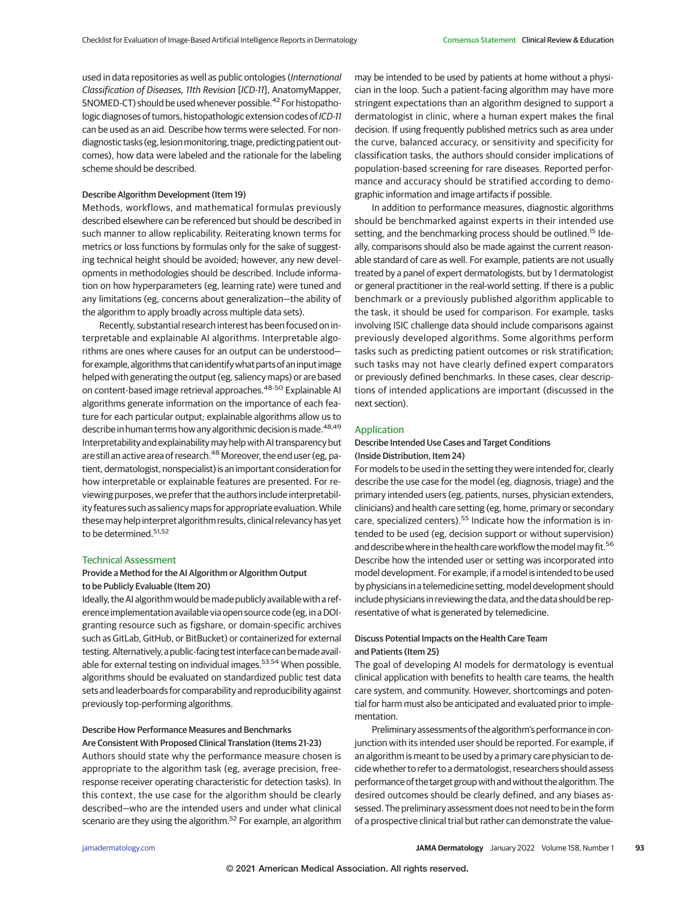used in data repositories as well as public ontologies (International Classification of Diseases, 11th Revision [ICD-11], AnatomyMapper, SNOMED-CT) should be used whenever possible.<sup>42</sup> For histopathologic diagnoses of tumors, histopathologic extension codes of ICD-11 can be used as an aid. Describe how terms were selected. For nondiagnostic tasks (eg, lesion monitoring, triage, predicting patient outcomes), how data were labeled and the rationale for the labeling scheme should be described.

### Describe Algorithm Development (Item 19)

Methods, workflows, and mathematical formulas previously described elsewhere can be referenced but should be described in such manner to allow replicability. Reiterating known terms for metrics or loss functions by formulas only for the sake of suggesting technical height should be avoided; however, any new developments in methodologies should be described. Include information on how hyperparameters (eg, learning rate) were tuned and any limitations (eg, concerns about generalization—the ability of the algorithm to apply broadly across multiple data sets).

Recently, substantial research interest has been focused on interpretable and explainable AI algorithms. Interpretable algorithms are ones where causes for an output can be understood for example, algorithms that can identify what parts of an input image helped with generating the output (eg, saliency maps) or are based on content-based image retrieval approaches.<sup>48-50</sup> Explainable AI algorithms generate information on the importance of each feature for each particular output; explainable algorithms allow us to describe in human terms how any algorithmic decision is made.<sup>48,49</sup> Interpretability and explainabilitymay help with AI transparency but are still an active area of research.<sup>48</sup> Moreover, the end user (eg, patient, dermatologist, nonspecialist) is an important consideration for how interpretable or explainable features are presented. For reviewing purposes, we prefer that the authors include interpretability features such as saliency maps for appropriate evaluation.While thesemay help interpret algorithm results, clinical relevancy has yet to be determined.<sup>51,52</sup>

#### Technical Assessment

# Provide a Method for the AI Algorithm or Algorithm Output to be Publicly Evaluable (Item 20)

Ideally, the AI algorithm would be made publicly available with a reference implementation available via open source code (eg, in a DOIgranting resource such as figshare, or domain-specific archives such as GitLab, GitHub, or BitBucket) or containerized for external testing. Alternatively, a public-facing test interface can be made available for external testing on individual images.<sup>53,54</sup> When possible, algorithms should be evaluated on standardized public test data sets and leaderboards for comparability and reproducibility against previously top-performing algorithms.

## Describe How Performance Measures and Benchmarks

Are Consistent With Proposed Clinical Translation (Items 21-23) Authors should state why the performance measure chosen is appropriate to the algorithm task (eg, average precision, freeresponse receiver operating characteristic for detection tasks). In this context, the use case for the algorithm should be clearly described—who are the intended users and under what clinical scenario are they using the algorithm.<sup>52</sup> For example, an algorithm may be intended to be used by patients at home without a physician in the loop. Such a patient-facing algorithm may have more stringent expectations than an algorithm designed to support a dermatologist in clinic, where a human expert makes the final decision. If using frequently published metrics such as area under the curve, balanced accuracy, or sensitivity and specificity for classification tasks, the authors should consider implications of population-based screening for rare diseases. Reported performance and accuracy should be stratified according to demographic information and image artifacts if possible.

In addition to performance measures, diagnostic algorithms should be benchmarked against experts in their intended use setting, and the benchmarking process should be outlined.<sup>15</sup> Ideally, comparisons should also be made against the current reasonable standard of care as well. For example, patients are not usually treated by a panel of expert dermatologists, but by 1 dermatologist or general practitioner in the real-world setting. If there is a public benchmark or a previously published algorithm applicable to the task, it should be used for comparison. For example, tasks involving ISIC challenge data should include comparisons against previously developed algorithms. Some algorithms perform tasks such as predicting patient outcomes or risk stratification; such tasks may not have clearly defined expert comparators or previously defined benchmarks. In these cases, clear descriptions of intended applications are important (discussed in the next section).

### Application

# Describe Intended Use Cases and Target Conditions (Inside Distribution, Item 24)

For models to be used in the setting they were intended for, clearly describe the use case for the model (eg, diagnosis, triage) and the primary intended users (eg, patients, nurses, physician extenders, clinicians) and health care setting (eg, home, primary or secondary care, specialized centers).<sup>55</sup> Indicate how the information is intended to be used (eg, decision support or without supervision) and describe where in the health care workflow the model may fit.<sup>56</sup> Describe how the intended user or setting was incorporated into model development. For example, if a model is intended to be used by physicians in a telemedicine setting, model development should include physicians in reviewing the data, and the data should be representative of what is generated by telemedicine.

# Discuss Potential Impacts on the Health Care Team and Patients (Item 25)

The goal of developing AI models for dermatology is eventual clinical application with benefits to health care teams, the health care system, and community. However, shortcomings and potential for harm must also be anticipated and evaluated prior to implementation.

Preliminary assessments of the algorithm's performance in conjunction with its intended user should be reported. For example, if an algorithm is meant to be used by a primary care physician to decide whether to refer to a dermatologist, researchers should assess performance of the target group with and without the algorithm. The desired outcomes should be clearly defined, and any biases assessed. The preliminary assessment does not need to be in the form of a prospective clinical trial but rather can demonstrate the value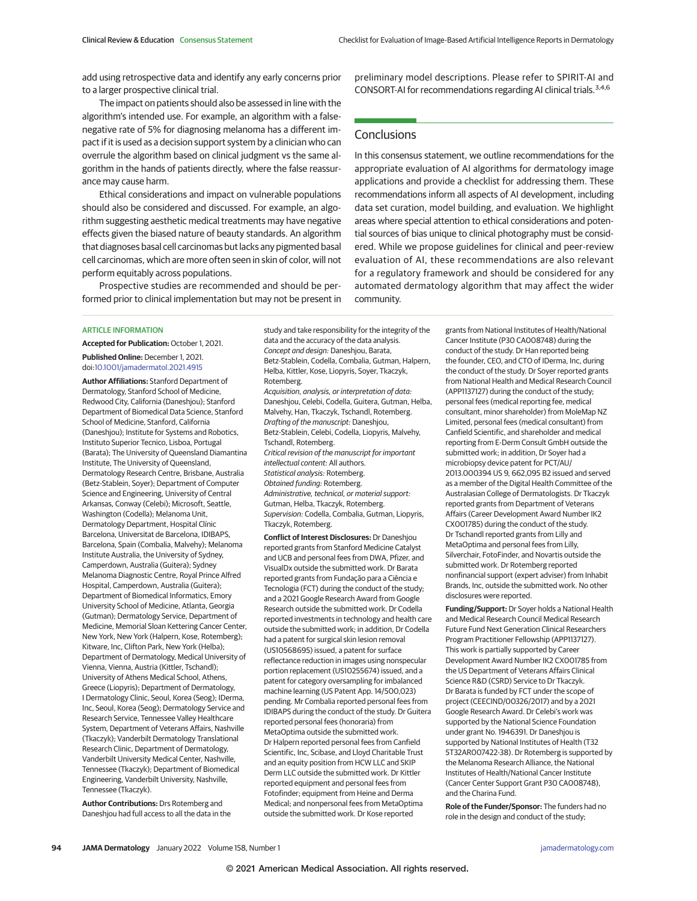add using retrospective data and identify any early concerns prior to a larger prospective clinical trial.

The impact on patients should also be assessed in line with the algorithm's intended use. For example, an algorithm with a falsenegative rate of 5% for diagnosing melanoma has a different impact if it is used as a decision support system by a clinician who can overrule the algorithm based on clinical judgment vs the same algorithm in the hands of patients directly, where the false reassurance may cause harm.

Ethical considerations and impact on vulnerable populations should also be considered and discussed. For example, an algorithm suggesting aesthetic medical treatments may have negative effects given the biased nature of beauty standards. An algorithm that diagnoses basal cell carcinomas but lacks any pigmented basal cell carcinomas, which are more often seen in skin of color, will not perform equitably across populations.

Prospective studies are recommended and should be performed prior to clinical implementation but may not be present in

### ARTICLE INFORMATION

**Accepted for Publication:** October 1, 2021. **Published Online:** December 1, 2021.

doi[:10.1001/jamadermatol.2021.4915](https://jamanetwork.com/journals/jama/fullarticle/10.1001/jamadermatol.2021.4915?utm_campaign=articlePDF%26utm_medium=articlePDFlink%26utm_source=articlePDF%26utm_content=jamadermatol.2021.4915)

**Author Affiliations:** Stanford Department of Dermatology, Stanford School of Medicine, Redwood City, California (Daneshjou); Stanford Department of Biomedical Data Science, Stanford School of Medicine, Stanford, California (Daneshjou); Institute for Systems and Robotics, Instituto Superior Tecnico, Lisboa, Portugal (Barata); The University of Queensland Diamantina Institute, The University of Queensland, Dermatology Research Centre, Brisbane, Australia (Betz-Stablein, Soyer); Department of Computer Science and Engineering, University of Central Arkansas, Conway (Celebi); Microsoft, Seattle, Washington (Codella); Melanoma Unit, Dermatology Department, Hospital Clínic Barcelona, Universitat de Barcelona, IDIBAPS, Barcelona, Spain (Combalia, Malvehy); Melanoma Institute Australia, the University of Sydney, Camperdown, Australia (Guitera); Sydney Melanoma Diagnostic Centre, Royal Prince Alfred Hospital, Camperdown, Australia (Guitera); Department of Biomedical Informatics, Emory University School of Medicine, Atlanta, Georgia (Gutman); Dermatology Service, Department of Medicine, Memorial Sloan Kettering Cancer Center, New York, New York (Halpern, Kose, Rotemberg); Kitware, Inc, Clifton Park, New York (Helba); Department of Dermatology, Medical University of Vienna, Vienna, Austria (Kittler, Tschandl); University of Athens Medical School, Athens, Greece (Liopyris); Department of Dermatology, I Dermatology Clinic, Seoul, Korea (Seog); IDerma, Inc, Seoul, Korea (Seog); Dermatology Service and Research Service, Tennessee Valley Healthcare System, Department of Veterans Affairs, Nashville (Tkaczyk); Vanderbilt Dermatology Translational Research Clinic, Department of Dermatology, Vanderbilt University Medical Center, Nashville, Tennessee (Tkaczyk); Department of Biomedical Engineering, Vanderbilt University, Nashville, Tennessee (Tkaczyk).

**Author Contributions:** Drs Rotemberg and Daneshjou had full access to all the data in the study and take responsibility for the integrity of the data and the accuracy of the data analysis. Concept and design: Daneshjou, Barata, Betz-Stablein, Codella, Combalia, Gutman, Halpern, Helba, Kittler, Kose, Liopyris, Soyer, Tkaczyk, Rotemberg.

Acquisition, analysis, or interpretation of data-Daneshjou, Celebi, Codella, Guitera, Gutman, Helba, Malvehy, Han, Tkaczyk, Tschandl, Rotemberg. Drafting of the manuscript: Daneshjou, Betz-Stablein, Celebi, Codella, Liopyris, Malvehy, Tschandl, Rotemberg. Critical revision of the manuscript for important intellectual content: All authors.

Statistical analysis: Rotemberg. Obtained funding: Rotemberg. Administrative, technical, or material support:

Gutman, Helba, Tkaczyk, Rotemberg. Supervision: Codella, Combalia, Gutman, Liopyris,

Tkaczyk, Rotemberg. **Conflict of Interest Disclosures:** Dr Daneshjou reported grants from Stanford Medicine Catalyst and UCB and personal fees from DWA, Pfizer, and VisualDx outside the submitted work. Dr Barata reported grants from Fundação para a Ciência e Tecnologia (FCT) during the conduct of the study; and a 2021 Google Research Award from Google Research outside the submitted work. Dr Codella reported investments in technology and health care outside the submitted work; in addition, Dr Codella had a patent for surgical skin lesion removal (US10568695) issued, a patent for surface reflectance reduction in images using nonspecular portion replacement (US10255674) issued, and a patent for category oversampling for imbalanced machine learning (US Patent App. 14/500,023) pending. Mr Combalia reported personal fees from IDIBAPS during the conduct of the study. Dr Guitera reported personal fees (honoraria) from MetaOptima outside the submitted work. Dr Halpern reported personal fees from Canfield Scientific, Inc, Scibase, and Lloyd Charitable Trust

and an equity position from HCW LLC and SKIP Derm LLC outside the submitted work. Dr Kittler reported equipment and personal fees from Fotofinder; equipment from Heine and Derma Medical; and nonpersonal fees from MetaOptima outside the submitted work. Dr Kose reported

preliminary model descriptions. Please refer to SPIRIT-AI and CONSORT-AI for recommendations regarding AI clinical trials.<sup>3,4,6</sup>

# **Conclusions**

In this consensus statement, we outline recommendations for the appropriate evaluation of AI algorithms for dermatology image applications and provide a checklist for addressing them. These recommendations inform all aspects of AI development, including data set curation, model building, and evaluation. We highlight areas where special attention to ethical considerations and potential sources of bias unique to clinical photography must be considered. While we propose guidelines for clinical and peer-review evaluation of AI, these recommendations are also relevant for a regulatory framework and should be considered for any automated dermatology algorithm that may affect the wider community.

> grants from National Institutes of Health/National Cancer Institute (P30 CA008748) during the conduct of the study. Dr Han reported being the founder, CEO, and CTO of IDerma, Inc, during the conduct of the study. Dr Soyer reported grants from National Health and Medical Research Council (APP1137127) during the conduct of the study; personal fees (medical reporting fee, medical consultant, minor shareholder) from MoleMap NZ Limited, personal fees (medical consultant) from Canfield Scientific, and shareholder and medical reporting from E-Derm Consult GmbH outside the submitted work; in addition, Dr Soyer had a microbiopsy device patent for PCT/AU/ 2013.000394 US 9, 662,095 B2 issued and served as a member of the Digital Health Committee of the Australasian College of Dermatologists. Dr Tkaczyk reported grants from Department of Veterans Affairs (Career Development Award Number IK2 CX001785) during the conduct of the study. Dr Tschandl reported grants from Lilly and MetaOptima and personal fees from Lilly, Silverchair, FotoFinder, and Novartis outside the submitted work. Dr Rotemberg reported nonfinancial support (expert adviser) from Inhabit Brands, Inc, outside the submitted work. No other disclosures were reported.

> **Funding/Support:** Dr Soyer holds a National Health and Medical Research Council Medical Research Future Fund Next Generation Clinical Researchers Program Practitioner Fellowship (APP1137127). This work is partially supported by Career Development Award Number IK2 CX001785 from the US Department of Veterans Affairs Clinical Science R&D (CSRD) Service to Dr Tkaczyk. Dr Barata is funded by FCT under the scope of project (CEECIND/00326/2017) and by a 2021 Google Research Award. Dr Celebi's work was supported by the National Science Foundation under grant No. 1946391. Dr Daneshjou is supported by National Institutes of Health (T32 5T32AR007422-38). Dr Rotemberg is supported by the Melanoma Research Alliance, the National Institutes of Health/National Cancer Institute (Cancer Center Support Grant P30 CA008748), and the Charina Fund.

**Role of the Funder/Sponsor:** The funders had no role in the design and conduct of the study;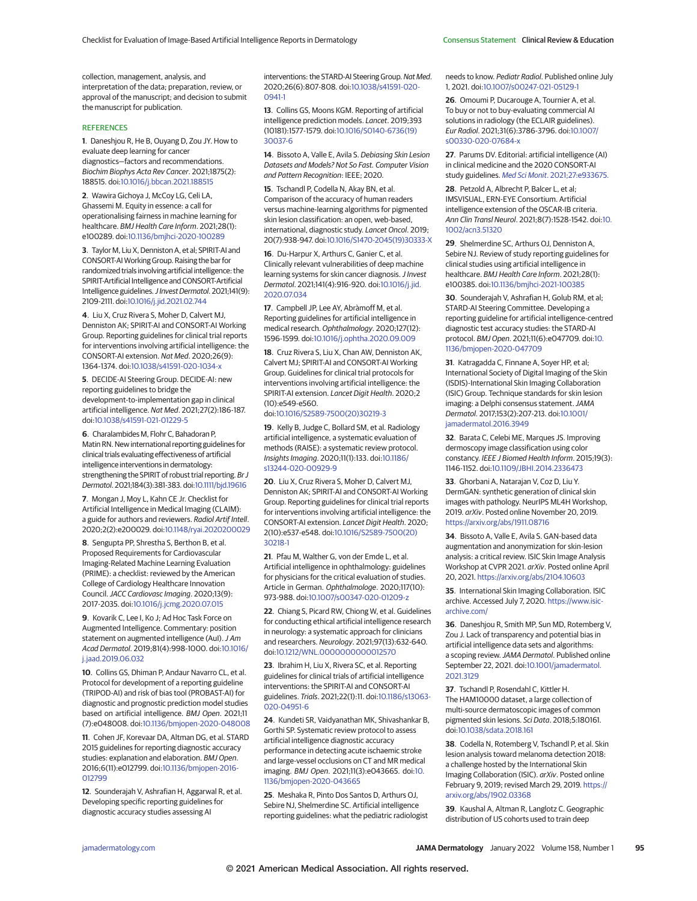collection, management, analysis, and interpretation of the data; preparation, review, or approval of the manuscript; and decision to submit the manuscript for publication.

#### **REFERENCES**

**1**. Daneshjou R, He B, Ouyang D, Zou JY. How to evaluate deep learning for cancer diagnostics—factors and recommendations. Biochim Biophys Acta Rev Cancer. 2021;1875(2): 188515. doi[:10.1016/j.bbcan.2021.188515](https://dx.doi.org/10.1016/j.bbcan.2021.188515)

**2**. Wawira Gichoya J, McCoy LG, Celi LA, Ghassemi M. Equity in essence: a call for operationalising fairness in machine learning for healthcare. BMJ Health Care Inform. 2021;28(1): e100289. doi[:10.1136/bmjhci-2020-100289](https://dx.doi.org/10.1136/bmjhci-2020-100289)

**3**. Taylor M, Liu X, Denniston A, et al; SPIRIT-AI and CONSORT-AI Working Group. Raising the bar for randomized trials involving artificial intelligence: the SPIRIT-Artificial Intelligence and CONSORT-Artificial Intelligence guidelines.J Invest Dermatol. 2021;141(9): 2109-2111. doi[:10.1016/j.jid.2021.02.744](https://dx.doi.org/10.1016/j.jid.2021.02.744)

**4**. Liu X, Cruz Rivera S, Moher D, Calvert MJ, Denniston AK; SPIRIT-AI and CONSORT-AI Working Group. Reporting guidelines for clinical trial reports for interventions involving artificial intelligence: the CONSORT-AI extension. Nat Med. 2020;26(9): 1364-1374. doi[:10.1038/s41591-020-1034-x](https://dx.doi.org/10.1038/s41591-020-1034-x)

**5**. DECIDE-AI Steering Group. DECIDE-AI: new reporting guidelines to bridge the development-to-implementation gap in clinical artificial intelligence. Nat Med. 2021;27(2):186-187. doi[:10.1038/s41591-021-01229-5](https://dx.doi.org/10.1038/s41591-021-01229-5)

**6**. Charalambides M, Flohr C, Bahadoran P, Matin RN. New international reporting guidelines for clinical trials evaluating effectiveness of artificial intelligence interventions in dermatology: strengthening the SPIRIT of robust trial reporting. Br J Dermatol. 2021;184(3):381-383. doi[:10.1111/bjd.19616](https://dx.doi.org/10.1111/bjd.19616)

**7**. Mongan J, Moy L, Kahn CE Jr. Checklist for Artificial Intelligence in Medical Imaging (CLAIM): a guide for authors and reviewers. Radiol Artif Intell. 2020;2(2):e200029. doi[:10.1148/ryai.2020200029](https://dx.doi.org/10.1148/ryai.2020200029)

**8**. Sengupta PP, Shrestha S, Berthon B, et al. Proposed Requirements for Cardiovascular Imaging-Related Machine Learning Evaluation (PRIME): a checklist: reviewed by the American College of Cardiology Healthcare Innovation Council.JACC Cardiovasc Imaging. 2020;13(9): 2017-2035. doi[:10.1016/j.jcmg.2020.07.015](https://dx.doi.org/10.1016/j.jcmg.2020.07.015)

**9**. Kovarik C, Lee I, Ko J; Ad Hoc Task Force on Augmented Intelligence. Commentary: position statement on augmented intelligence (AuI). J Am Acad Dermatol. 2019;81(4):998-1000. doi[:10.1016/](https://dx.doi.org/10.1016/j.jaad.2019.06.032) [j.jaad.2019.06.032](https://dx.doi.org/10.1016/j.jaad.2019.06.032)

**10**. Collins GS, Dhiman P, Andaur Navarro CL, et al. Protocol for development of a reporting guideline (TRIPOD-AI) and risk of bias tool (PROBAST-AI) for diagnostic and prognostic prediction model studies based on artificial intelligence. BMJ Open. 2021;11 (7):e048008. doi[:10.1136/bmjopen-2020-048008](https://dx.doi.org/10.1136/bmjopen-2020-048008)

**11**. Cohen JF, Korevaar DA, Altman DG, et al. STARD 2015 guidelines for reporting diagnostic accuracy studies: explanation and elaboration. BMJ Open. 2016;6(11):e012799. doi[:10.1136/bmjopen-2016-](https://dx.doi.org/10.1136/bmjopen-2016-012799) [012799](https://dx.doi.org/10.1136/bmjopen-2016-012799)

**12**. Sounderajah V, Ashrafian H, Aggarwal R, et al. Developing specific reporting guidelines for diagnostic accuracy studies assessing AI

interventions: the STARD-AI Steering Group. Nat Med. 2020;26(6):807-808. doi[:10.1038/s41591-020-](https://dx.doi.org/10.1038/s41591-020-0941-1) [0941-1](https://dx.doi.org/10.1038/s41591-020-0941-1)

**13**. Collins GS, Moons KGM. Reporting of artificial intelligence prediction models. Lancet. 2019;393 (10181):1577-1579. doi[:10.1016/S0140-6736\(19\)](https://dx.doi.org/10.1016/S0140-6736(19)30037-6) [30037-6](https://dx.doi.org/10.1016/S0140-6736(19)30037-6)

**14**. Bissoto A, Valle E, Avila S. Debiasing Skin Lesion Datasets and Models? Not So Fast. Computer Vision and Pattern Recognition: IEEE; 2020.

**15**. Tschandl P, Codella N, Akay BN, et al. Comparison of the accuracy of human readers versus machine-learning algorithms for pigmented skin lesion classification: an open, web-based, international, diagnostic study. Lancet Oncol. 2019; 20(7):938-947. doi[:10.1016/S1470-2045\(19\)30333-X](https://dx.doi.org/10.1016/S1470-2045(19)30333-X)

**16**. Du-Harpur X, Arthurs C, Ganier C, et al. Clinically relevant vulnerabilities of deep machine learning systems for skin cancer diagnosis. J Invest Dermatol. 2021;141(4):916-920. doi[:10.1016/j.jid.](https://dx.doi.org/10.1016/j.jid.2020.07.034) [2020.07.034](https://dx.doi.org/10.1016/j.jid.2020.07.034)

**17**. Campbell JP, Lee AY, Abràmoff M, et al. Reporting guidelines for artificial intelligence in medical research. Ophthalmology. 2020;127(12): 1596-1599. doi[:10.1016/j.ophtha.2020.09.009](https://dx.doi.org/10.1016/j.ophtha.2020.09.009)

**18**. Cruz Rivera S, Liu X, Chan AW, Denniston AK, Calvert MJ; SPIRIT-AI and CONSORT-AI Working Group. Guidelines for clinical trial protocols for interventions involving artificial intelligence: the SPIRIT-AI extension. Lancet Digit Health. 2020;2 (10):e549-e560.

### doi[:10.1016/S2589-7500\(20\)30219-3](https://dx.doi.org/10.1016/S2589-7500(20)30219-3)

**19**. Kelly B, Judge C, Bollard SM, et al. Radiology artificial intelligence, a systematic evaluation of methods (RAISE): a systematic review protocol. Insights Imaging. 2020;11(1):133. doi[:10.1186/](https://dx.doi.org/10.1186/s13244-020-00929-9) [s13244-020-00929-9](https://dx.doi.org/10.1186/s13244-020-00929-9)

**20**. Liu X, Cruz Rivera S, Moher D, Calvert MJ, Denniston AK; SPIRIT-AI and CONSORT-AI Working Group. Reporting guidelines for clinical trial reports for interventions involving artificial intelligence: the CONSORT-AI extension. Lancet Digit Health. 2020; 2(10):e537-e548. doi[:10.1016/S2589-7500\(20\)](https://dx.doi.org/10.1016/S2589-7500(20)30218-1) [30218-1](https://dx.doi.org/10.1016/S2589-7500(20)30218-1)

**21**. Pfau M, Walther G, von der Emde L, et al. Artificial intelligence in ophthalmology: guidelines for physicians for the critical evaluation of studies. Article in German. Ophthalmologe. 2020;117(10): 973-988. doi[:10.1007/s00347-020-01209-z](https://dx.doi.org/10.1007/s00347-020-01209-z)

**22**. Chiang S, Picard RW, Chiong W, et al. Guidelines for conducting ethical artificial intelligence research in neurology: a systematic approach for clinicians and researchers. Neurology. 2021;97(13):632-640. doi[:10.1212/WNL.0000000000012570](https://dx.doi.org/10.1212/WNL.0000000000012570)

**23**. Ibrahim H, Liu X, Rivera SC, et al. Reporting guidelines for clinical trials of artificial intelligence interventions: the SPIRIT-AI and CONSORT-AI guidelines. Trials. 2021;22(1):11. doi[:10.1186/s13063-](https://dx.doi.org/10.1186/s13063-020-04951-6) [020-04951-6](https://dx.doi.org/10.1186/s13063-020-04951-6)

**24**. Kundeti SR, Vaidyanathan MK, Shivashankar B, Gorthi SP. Systematic review protocol to assess artificial intelligence diagnostic accuracy performance in detecting acute ischaemic stroke and large-vessel occlusions on CT and MR medical imaging. BMJ Open. 2021;11(3):e043665. doi[:10.](https://dx.doi.org/10.1136/bmjopen-2020-043665) [1136/bmjopen-2020-043665](https://dx.doi.org/10.1136/bmjopen-2020-043665)

**25**. Meshaka R, Pinto Dos Santos D, Arthurs OJ, Sebire NJ, Shelmerdine SC. Artificial intelligence reporting guidelines: what the pediatric radiologist needs to know. Pediatr Radiol. Published online July 1, 2021. doi[:10.1007/s00247-021-05129-1](https://dx.doi.org/10.1007/s00247-021-05129-1)

**26**. Omoumi P, Ducarouge A, Tournier A, et al. To buy or not to buy-evaluating commercial AI solutions in radiology (the ECLAIR guidelines). Eur Radiol. 2021;31(6):3786-3796. doi[:10.1007/](https://dx.doi.org/10.1007/s00330-020-07684-x) [s00330-020-07684-x](https://dx.doi.org/10.1007/s00330-020-07684-x)

**27**. Parums DV. Editorial: artificial intelligence (AI) in clinical medicine and the 2020 CONSORT-AI study guidelines. Med Sci Monit[. 2021;27:e933675.](https://www.ncbi.nlm.nih.gov/pubmed/34176921)

**28**[. Petzold A, Albrecht P, Balcer L, et al;](https://www.ncbi.nlm.nih.gov/pubmed/34176921) [IMSVISUAL, ERN-EYE Consortium. Artificial](https://www.ncbi.nlm.nih.gov/pubmed/34176921) [intelligence extension of the OSCAR-IB criteria.](https://www.ncbi.nlm.nih.gov/pubmed/34176921) Ann Clin Transl Neurol. 2021;8(7):1528-1542. doi[:10.](https://dx.doi.org/10.1002/acn3.51320) [1002/acn3.51320](https://dx.doi.org/10.1002/acn3.51320)

**29**. Shelmerdine SC, Arthurs OJ, Denniston A, Sebire NJ. Review of study reporting guidelines for clinical studies using artificial intelligence in healthcare. BMJ Health Care Inform. 2021;28(1): e100385. doi[:10.1136/bmjhci-2021-100385](https://dx.doi.org/10.1136/bmjhci-2021-100385)

**30**. Sounderajah V, Ashrafian H, Golub RM, et al; STARD-AI Steering Committee. Developing a reporting guideline for artificial intelligence-centred diagnostic test accuracy studies: the STARD-AI protocol. BMJ Open. 2021;11(6):e047709. doi[:10.](https://dx.doi.org/10.1136/bmjopen-2020-047709) [1136/bmjopen-2020-047709](https://dx.doi.org/10.1136/bmjopen-2020-047709)

**31**. Katragadda C, Finnane A, Soyer HP, et al; International Society of Digital Imaging of the Skin (ISDIS)-International Skin Imaging Collaboration (ISIC) Group. Technique standards for skin lesion imaging: a Delphi consensus statement.JAMA Dermatol. 2017;153(2):207-213. doi[:10.1001/](https://jamanetwork.com/journals/jama/fullarticle/10.1001/jamadermatol.2016.3949?utm_campaign=articlePDF%26utm_medium=articlePDFlink%26utm_source=articlePDF%26utm_content=jamadermatol.2021.4915) [jamadermatol.2016.3949](https://jamanetwork.com/journals/jama/fullarticle/10.1001/jamadermatol.2016.3949?utm_campaign=articlePDF%26utm_medium=articlePDFlink%26utm_source=articlePDF%26utm_content=jamadermatol.2021.4915)

**32**. Barata C, Celebi ME, Marques JS. Improving dermoscopy image classification using color constancy. IEEE J Biomed Health Inform. 2015;19(3): 1146-1152. doi[:10.1109/JBHI.2014.2336473](https://dx.doi.org/10.1109/JBHI.2014.2336473)

**33**. Ghorbani A, Natarajan V, Coz D, Liu Y. DermGAN: synthetic generation of clinical skin images with pathology. NeurIPS ML4H Workshop, 2019. arXiv. Posted online November 20, 2019. <https://arxiv.org/abs/1911.08716>

**34**. Bissoto A, Valle E, Avila S. GAN-based data augmentation and anonymization for skin-lesion analysis: a critical review. ISIC Skin Image Analysis Workshop at CVPR 2021. arXiv. Posted online April 20, 2021. <https://arxiv.org/abs/2104.10603>

**35**. International Skin Imaging Collaboration. ISIC archive. Accessed July 7, 2020. [https://www.isic](https://www.isic-archive.com/)[archive.com/](https://www.isic-archive.com/)

**36**. Daneshjou R, Smith MP, Sun MD, Rotemberg V, Zou J. Lack of transparency and potential bias in artificial intelligence data sets and algorithms: a scoping review.JAMA Dermatol. Published online September 22, 2021. doi[:10.1001/jamadermatol.](https://jamanetwork.com/journals/jama/fullarticle/10.1001/jamadermatol.2021.3129?utm_campaign=articlePDF%26utm_medium=articlePDFlink%26utm_source=articlePDF%26utm_content=jamadermatol.2021.4915) [2021.3129](https://jamanetwork.com/journals/jama/fullarticle/10.1001/jamadermatol.2021.3129?utm_campaign=articlePDF%26utm_medium=articlePDFlink%26utm_source=articlePDF%26utm_content=jamadermatol.2021.4915)

**37**. Tschandl P, Rosendahl C, Kittler H. The HAM10000 dataset, a large collection of multi-source dermatoscopic images of common pigmented skin lesions. Sci Data. 2018;5:180161. doi[:10.1038/sdata.2018.161](https://dx.doi.org/10.1038/sdata.2018.161)

**38**. Codella N, Rotemberg V, Tschandl P, et al. Skin lesion analysis toward melanoma detection 2018: a challenge hosted by the International Skin Imaging Collaboration (ISIC). arXiv. Posted online February 9, 2019; revised March 29, 2019. [https://](https://arxiv.org/abs/1902.03368) [arxiv.org/abs/1902.03368](https://arxiv.org/abs/1902.03368)

**39**. Kaushal A, Altman R, Langlotz C. Geographic distribution of US cohorts used to train deep